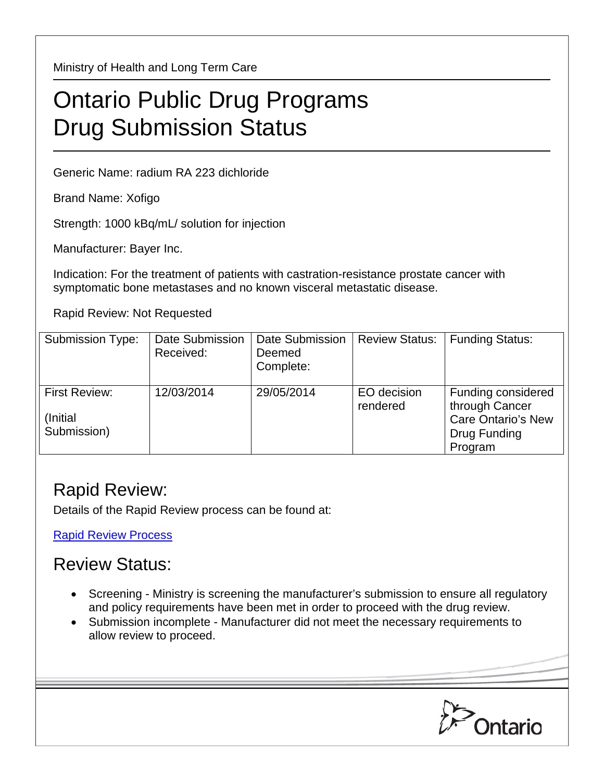Ministry of Health and Long Term Care

## Ontario Public Drug Programs Drug Submission Status

Generic Name: radium RA 223 dichloride

Brand Name: Xofigo

Strength: 1000 kBq/mL/ solution for injection

Manufacturer: Bayer Inc.

Indication: For the treatment of patients with castration-resistance prostate cancer with symptomatic bone metastases and no known visceral metastatic disease.

Rapid Review: Not Requested

| Submission Type:                          | Date Submission<br>Received: | Date Submission<br>Deemed<br>Complete: | <b>Review Status:</b>   | <b>Funding Status:</b>                                                                       |
|-------------------------------------------|------------------------------|----------------------------------------|-------------------------|----------------------------------------------------------------------------------------------|
| First Review:<br>(Initial)<br>Submission) | 12/03/2014                   | 29/05/2014                             | EO decision<br>rendered | Funding considered<br>through Cancer<br><b>Care Ontario's New</b><br>Drug Funding<br>Program |

## Rapid Review:

Details of the Rapid Review process can be found at:

[Rapid Review Process](http://www.health.gov.on.ca/en/pro/programs/drugs/drug_submissions/rapid_review_process.aspx)

## Review Status:

- Screening Ministry is screening the manufacturer's submission to ensure all regulatory and policy requirements have been met in order to proceed with the drug review.
- Submission incomplete Manufacturer did not meet the necessary requirements to allow review to proceed.